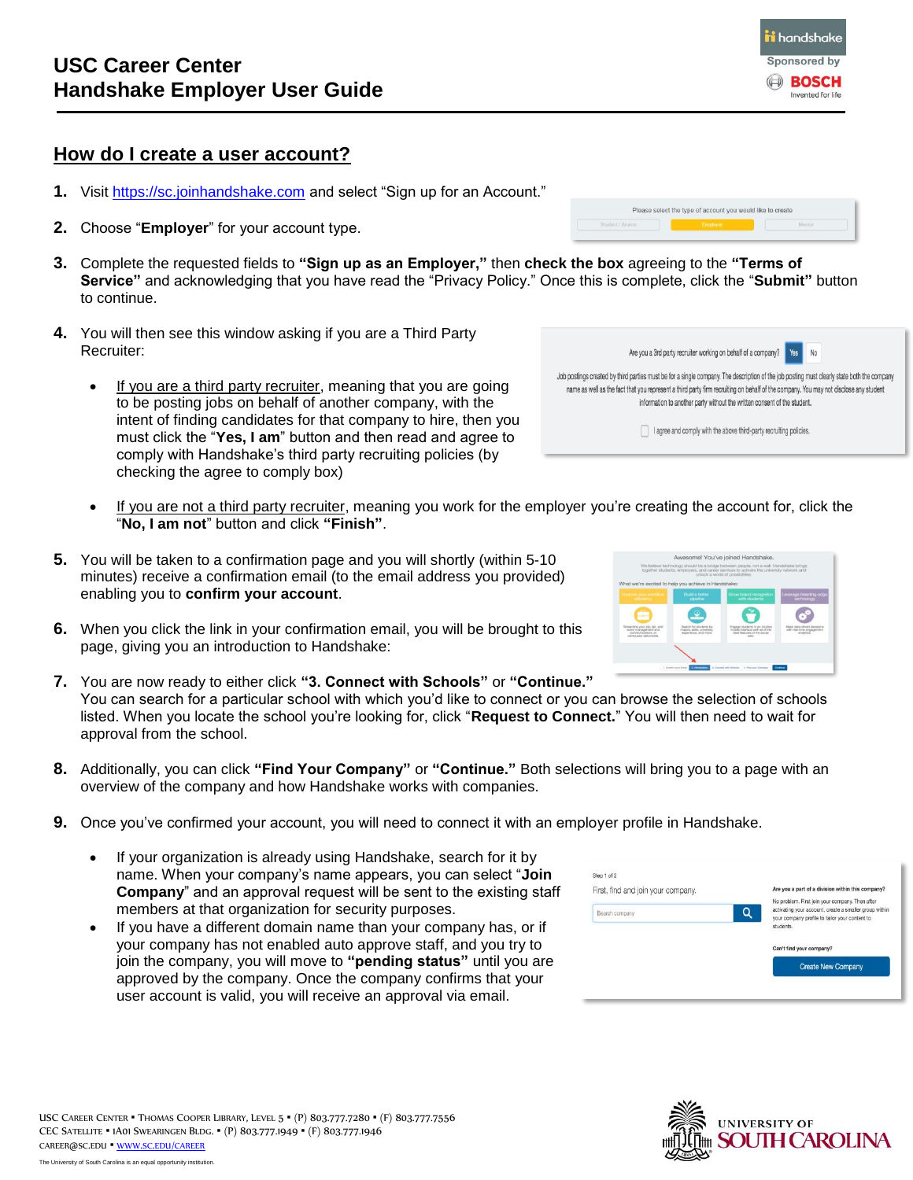## **How do I create a user account?**

- **1.** Visit [https://sc.joinhandshake.com](https://sc.joinhandshake.com/) and select "Sign up for an Account."
- **2.** Choose "**Employer**" for your account type.
- **3.** Complete the requested fields to **"Sign up as an Employer,"** then **check the box** agreeing to the **"Terms of Service"** and acknowledging that you have read the "Privacy Policy." Once this is complete, click the "**Submit"** button to continue.
- **4.** You will then see this window asking if you are a Third Party Recruiter:
	- If you are a third party recruiter, meaning that you are going to be posting jobs on behalf of another company, with the intent of finding candidates for that company to hire, then you must click the "**Yes, I am**" button and then read and agree to comply with Handshake's third party recruiting policies (by checking the agree to comply box)
	- If you are not a third party recruiter, meaning you work for the employer you' "**No, I am not**" button and click **"Finish"**.
- **5.** You will be taken to a confirmation page and you will shortly (within 5-10 minutes) receive a confirmation email (to the email address you provided) enabling you to **confirm your account**.
- **6.** When you click the link in your confirmation email, you will be brought to this page, giving you an introduction to Handshake:
- **7.** You are now ready to either click **"3. Connect with Schools"** or **"Continue."** You can search for a particular school with which you'd like to connect or you can browse the selection of schools listed. When you locate the school you're looking for, click "**Request to Connect.**" You will then need to wait for approval from the school.
- **8.** Additionally, you can click **"Find Your Company"** or **"Continue."** Both selections will bring you to a page with an overview of the company and how Handshake works with companies.
- **9.** Once you've confirmed your account, you will need to connect it with an employer profile in Handshake.
	- If your organization is already using Handshake, search for it by name. When your company's name appears, you can select "**Join Company**" and an approval request will be sent to the existing staff members at that organization for security purposes.
	- If you have a different domain name than your company has, or if your company has not enabled auto approve staff, and you try to join the company, you will move to **"pending status"** until you are approved by the company. Once the company confirms that your user account is valid, you will receive an approval via email.

| I agree and comply with the above third-party recruiting policies. |                                        |  |
|--------------------------------------------------------------------|----------------------------------------|--|
|                                                                    | re creating the account for, click the |  |

Please select the type of account you would like to create

Are you a 3rd party recruiter working on behalf of a company?

Job postings created by third parties must be for a single company. The description of the job posting must clearly state both the company name as well as the fact that you represent a third party firm recruiting on behalf of the company. You may not disclose any student information to another party without the written consent of the student.







Yes N<sub>0</sub>